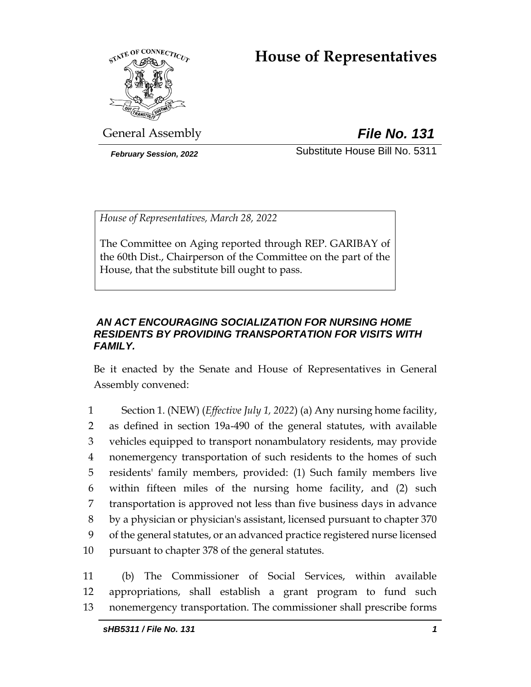# **House of Representatives**



General Assembly *File No. 131*

*February Session, 2022* Substitute House Bill No. 5311

*House of Representatives, March 28, 2022*

The Committee on Aging reported through REP. GARIBAY of the 60th Dist., Chairperson of the Committee on the part of the House, that the substitute bill ought to pass.

# *AN ACT ENCOURAGING SOCIALIZATION FOR NURSING HOME RESIDENTS BY PROVIDING TRANSPORTATION FOR VISITS WITH FAMILY.*

Be it enacted by the Senate and House of Representatives in General Assembly convened:

 Section 1. (NEW) (*Effective July 1, 2022*) (a) Any nursing home facility, as defined in section 19a-490 of the general statutes, with available vehicles equipped to transport nonambulatory residents, may provide nonemergency transportation of such residents to the homes of such residents' family members, provided: (1) Such family members live within fifteen miles of the nursing home facility, and (2) such transportation is approved not less than five business days in advance by a physician or physician's assistant, licensed pursuant to chapter 370 of the general statutes, or an advanced practice registered nurse licensed pursuant to chapter 378 of the general statutes.

11 (b) The Commissioner of Social Services, within available 12 appropriations, shall establish a grant program to fund such 13 nonemergency transportation. The commissioner shall prescribe forms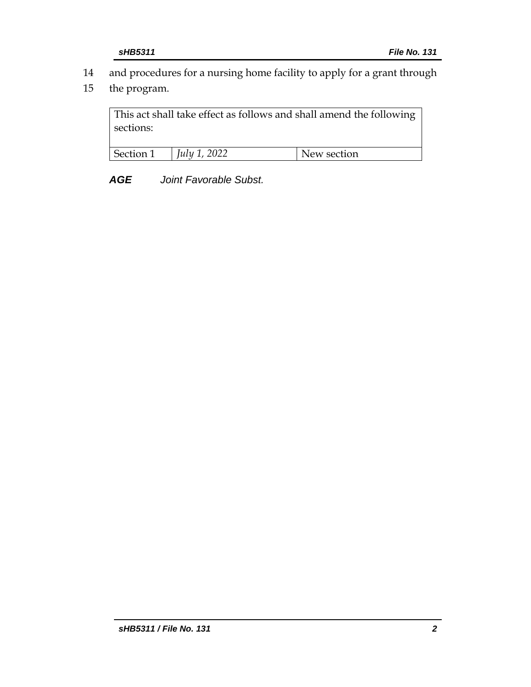- 14 and procedures for a nursing home facility to apply for a grant through
- 15 the program.

This act shall take effect as follows and shall amend the following sections:

| Section 1 | 2022<br>July 1 | section<br>$\mathbf{M}$ |
|-----------|----------------|-------------------------|

*AGE Joint Favorable Subst.*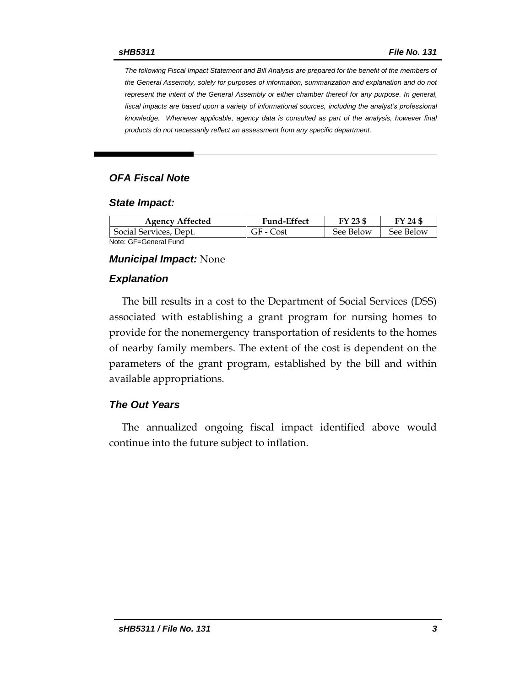*The following Fiscal Impact Statement and Bill Analysis are prepared for the benefit of the members of the General Assembly, solely for purposes of information, summarization and explanation and do not represent the intent of the General Assembly or either chamber thereof for any purpose. In general,*  fiscal impacts are based upon a variety of informational sources, including the analyst's professional *knowledge. Whenever applicable, agency data is consulted as part of the analysis, however final products do not necessarily reflect an assessment from any specific department.*

# *OFA Fiscal Note*

#### *State Impact:*

| <b>Agency Affected</b> | <b>Fund-Effect</b> | FY 23 \$  | FY 24 \$  |
|------------------------|--------------------|-----------|-----------|
| Social Services, Dept. | GF - Cost          | See Below | See Below |
| Note: GF=General Fund  |                    |           |           |

#### *Municipal Impact:* None

#### *Explanation*

The bill results in a cost to the Department of Social Services (DSS) associated with establishing a grant program for nursing homes to provide for the nonemergency transportation of residents to the homes of nearby family members. The extent of the cost is dependent on the parameters of the grant program, established by the bill and within available appropriations.

#### *The Out Years*

The annualized ongoing fiscal impact identified above would continue into the future subject to inflation.